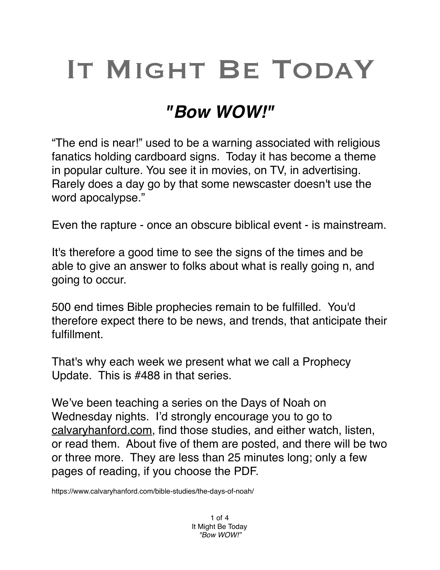## IT MIGHT BE TODAY

## *"Bow WOW!"*

"The end is near!" used to be a warning associated with religious fanatics holding cardboard signs. Today it has become a theme in popular culture. You see it in movies, on TV, in advertising. Rarely does a day go by that some newscaster doesn't use the word apocalypse."

Even the rapture - once an obscure biblical event - is mainstream.

It's therefore a good time to see the signs of the times and be able to give an answer to folks about what is really going n, and going to occur.

500 end times Bible prophecies remain to be fulfilled. You'd therefore expect there to be news, and trends, that anticipate their fulfillment.

That's why each week we present what we call a Prophecy Update. This is #488 in that series.

We've been teaching a series on the Days of Noah on Wednesday nights. I'd strongly encourage you to go to [calvaryhanford.com,](http://calvaryhanford.com) find those studies, and either watch, listen, or read them. About five of them are posted, and there will be two or three more. They are less than 25 minutes long; only a few pages of reading, if you choose the PDF.

https://www.calvaryhanford.com/bible-studies/the-days-of-noah/

1 of 4 It Might Be Today *"Bow WOW!"*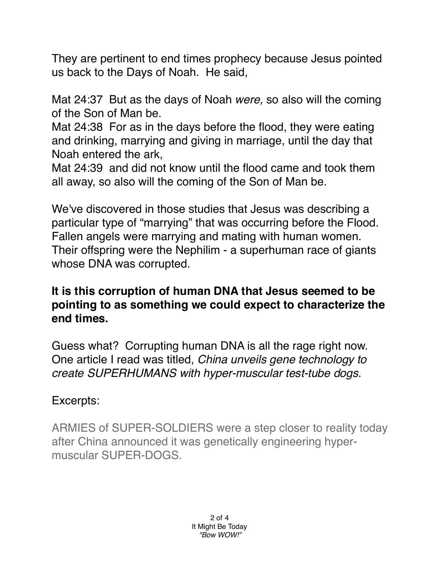They are pertinent to end times prophecy because Jesus pointed us back to the Days of Noah. He said,

Mat 24:37 But as the days of Noah *were,* so also will the coming of the Son of Man be.

Mat 24:38 For as in the days before the flood, they were eating and drinking, marrying and giving in marriage, until the day that Noah entered the ark,

Mat 24:39 and did not know until the flood came and took them all away, so also will the coming of the Son of Man be.

We've discovered in those studies that Jesus was describing a particular type of "marrying" that was occurring before the Flood. Fallen angels were marrying and mating with human women. Their offspring were the Nephilim - a superhuman race of giants whose DNA was corrupted.

## **It is this corruption of human DNA that Jesus seemed to be pointing to as something we could expect to characterize the end times.**

Guess what? Corrupting human DNA is all the rage right now. One article I read was titled, *China unveils gene technology to create SUPERHUMANS with hyper-muscular test-tube dogs.*

## Excerpts:

ARMIES of SUPER-SOLDIERS were a step closer to reality today after China announced it was genetically engineering hypermuscular SUPER-DOGS.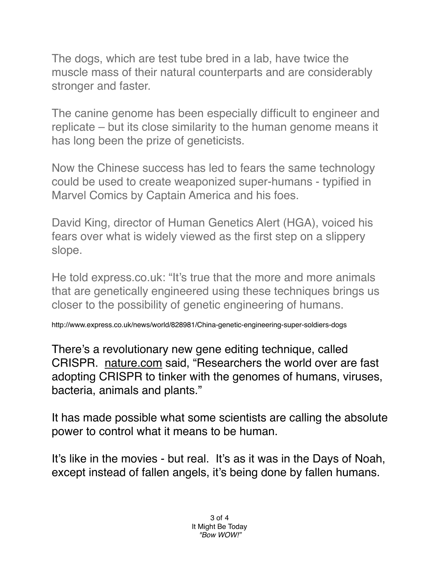The dogs, which are test tube bred in a lab, have twice the muscle mass of their natural counterparts and are considerably stronger and faster.

The canine genome has been especially difficult to engineer and replicate – but its close similarity to the human genome means it has long been the prize of geneticists.

Now the Chinese success has led to fears the same technology could be used to create weaponized super-humans - typified in Marvel Comics by Captain America and his foes.

David King, director of Human Genetics Alert (HGA), voiced his fears over what is widely viewed as the first step on a slippery slope.

He told express.co.uk: "It's true that the more and more animals that are genetically engineered using these techniques brings us closer to the possibility of genetic engineering of humans.

http://www.express.co.uk/news/world/828981/China-genetic-engineering-super-soldiers-dogs

There's a revolutionary new gene editing technique, called CRISPR. [nature.com](http://nature.com) said, "Researchers the world over are fast adopting CRISPR to tinker with the genomes of humans, viruses, bacteria, animals and plants."

It has made possible what some scientists are calling the absolute power to control what it means to be human.

It's like in the movies - but real. It's as it was in the Days of Noah, except instead of fallen angels, it's being done by fallen humans.